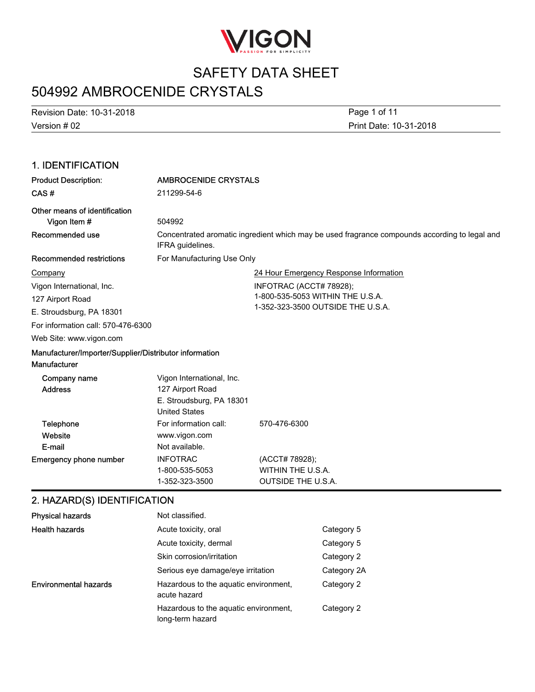

# 504992 AMBROCENIDE CRYSTALS

Version # 02 Revision Date: 10-31-2018

Print Date: 10-31-2018 Page 1 of 11

#### 1. IDENTIFICATION Product Description: AMBROCENIDE CRYSTALS CAS # 211299-54-6 Other means of identification **Vigon Item #** 504992 Concentrated aromatic ingredient which may be used fragrance compounds according to legal and IFRA guidelines. Recommended use Recommended restrictions For Manufacturing Use Only 24 Hour Emergency Response Information INFOTRAC (ACCT# 78928); 1-800-535-5053 WITHIN THE U.S.A. 1-352-323-3500 OUTSIDE THE U.S.A. Web Site: www.vigon.com For information call: 570-476-6300 **Company** Vigon International, Inc. 127 Airport Road E. Stroudsburg, PA 18301 Manufacturer/Importer/Supplier/Distributor information **Manufacturer** Vigon International, Inc. Address 127 Airport Road Company name Website Telephone For information call: 570-476-6300 Emergency phone number INFOTRAC (ACCT# 78928); 1-800-535-5053 WITHIN THE U.S.A. 1-352-323-3500 OUTSIDE THE U.S.A. E-mail United States www.vigon.com Not available. E. Stroudsburg, PA 18301 2. HAZARD(S) IDENTIFICATION Physical hazards Not classified. Health hazards **Acute toxicity, oral Category 5** Category 5 Acute toxicity, dermal Category 5 Skin corrosion/irritation Category 2

Serious eye damage/eye irritation Category 2A Hazardous to the aquatic environment, Category 2 acute hazard Environmental hazards Hazardous to the aquatic environment, Category 2 long-term hazard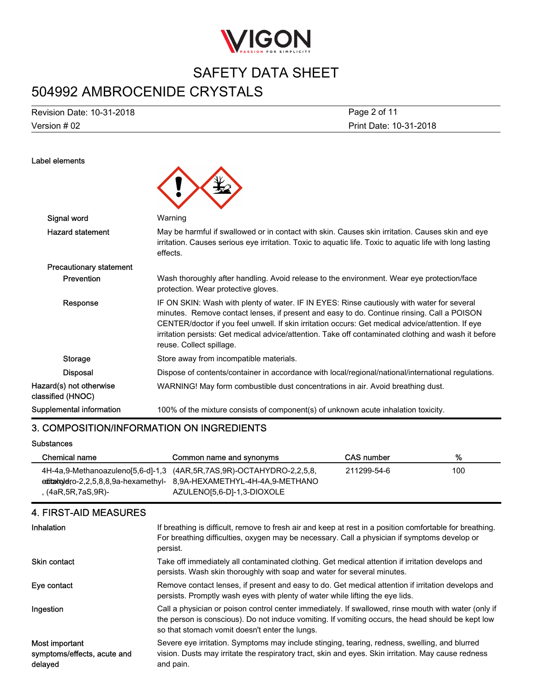

# 504992 AMBROCENIDE CRYSTALS

Version # 02 Revision Date: 10-31-2018

Label elements

Print Date: 10-31-2018 Page 2 of 11

| Signal word                                  | Warning                                                                                                                                                                                                                                                                                                                                                                                                                           |
|----------------------------------------------|-----------------------------------------------------------------------------------------------------------------------------------------------------------------------------------------------------------------------------------------------------------------------------------------------------------------------------------------------------------------------------------------------------------------------------------|
| <b>Hazard statement</b>                      | May be harmful if swallowed or in contact with skin. Causes skin irritation. Causes skin and eye<br>irritation. Causes serious eye irritation. Toxic to aguatic life. Toxic to aguatic life with long lasting<br>effects.                                                                                                                                                                                                         |
| <b>Precautionary statement</b>               |                                                                                                                                                                                                                                                                                                                                                                                                                                   |
| <b>Prevention</b>                            | Wash thoroughly after handling. Avoid release to the environment. Wear eye protection/face<br>protection. Wear protective gloves.                                                                                                                                                                                                                                                                                                 |
| Response                                     | IF ON SKIN: Wash with plenty of water. IF IN EYES: Rinse cautiously with water for several<br>minutes. Remove contact lenses, if present and easy to do. Continue rinsing. Call a POISON<br>CENTER/doctor if you feel unwell. If skin irritation occurs: Get medical advice/attention. If eye<br>irritation persists: Get medical advice/attention. Take off contaminated clothing and wash it before<br>reuse. Collect spillage. |
| <b>Storage</b>                               | Store away from incompatible materials.                                                                                                                                                                                                                                                                                                                                                                                           |
| <b>Disposal</b>                              | Dispose of contents/container in accordance with local/regional/national/international regulations.                                                                                                                                                                                                                                                                                                                               |
| Hazard(s) not otherwise<br>classified (HNOC) | WARNING! May form combustible dust concentrations in air. Avoid breathing dust.                                                                                                                                                                                                                                                                                                                                                   |
| Supplemental information                     | 100% of the mixture consists of component(s) of unknown acute inhalation toxicity.                                                                                                                                                                                                                                                                                                                                                |

#### 3. COMPOSITION/INFORMATION ON INGREDIENTS

**Substances** 

| Chemical name          | Common name and synonyms                                             | CAS number  | %   |
|------------------------|----------------------------------------------------------------------|-------------|-----|
|                        | 4H-4a,9-Methanoazuleno[5,6-d]-1,3 (4AR,5R,7AS,9R)-OCTAHYDRO-2,2,5,8, | 211299-54-6 | 100 |
|                        | editalgetig-2.2.5.8.8.9a-hexamethyl-8.9A-HEXAMETHYL-4H-4A.9-METHANO  |             |     |
| $(4aR, 5R, 7aS, 9R)$ - | AZULENO[5,6-D]-1,3-DIOXOLE                                           |             |     |

### 4. FIRST-AID MEASURES

| Inhalation                                               | If breathing is difficult, remove to fresh air and keep at rest in a position comfortable for breathing.<br>For breathing difficulties, oxygen may be necessary. Call a physician if symptoms develop or<br>persist.                                        |
|----------------------------------------------------------|-------------------------------------------------------------------------------------------------------------------------------------------------------------------------------------------------------------------------------------------------------------|
| <b>Skin contact</b>                                      | Take off immediately all contaminated clothing. Get medical attention if irritation develops and<br>persists. Wash skin thoroughly with soap and water for several minutes.                                                                                 |
| Eye contact                                              | Remove contact lenses, if present and easy to do. Get medical attention if irritation develops and<br>persists. Promptly wash eyes with plenty of water while lifting the eye lids.                                                                         |
| Ingestion                                                | Call a physician or poison control center immediately. If swallowed, rinse mouth with water (only if<br>the person is conscious). Do not induce vomiting. If vomiting occurs, the head should be kept low<br>so that stomach vomit doesn't enter the lungs. |
| Most important<br>symptoms/effects, acute and<br>delayed | Severe eye irritation. Symptoms may include stinging, tearing, redness, swelling, and blurred<br>vision. Dusts may irritate the respiratory tract, skin and eyes. Skin irritation. May cause redness<br>and pain.                                           |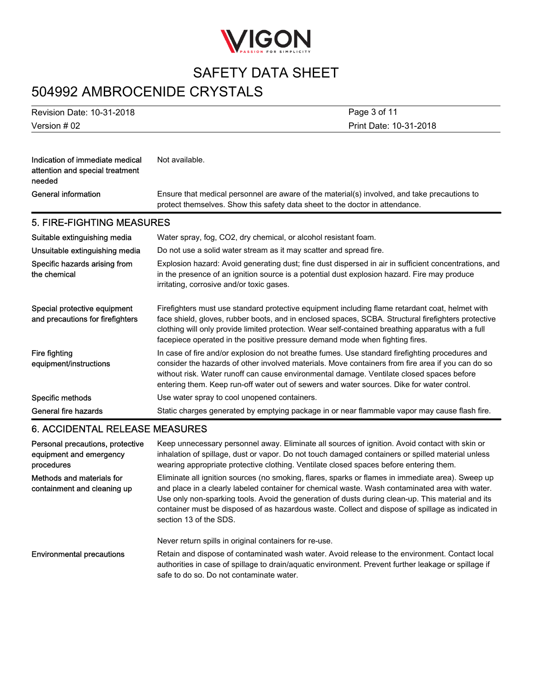

# 504992 AMBROCENIDE CRYSTALS

| <b>Revision Date: 10-31-2018</b>                                             | Page 3 of 11                                                                                                                                                                                                                                                                                                                                                                                    |  |
|------------------------------------------------------------------------------|-------------------------------------------------------------------------------------------------------------------------------------------------------------------------------------------------------------------------------------------------------------------------------------------------------------------------------------------------------------------------------------------------|--|
| Version #02                                                                  | Print Date: 10-31-2018                                                                                                                                                                                                                                                                                                                                                                          |  |
| Indication of immediate medical<br>attention and special treatment<br>needed | Not available.                                                                                                                                                                                                                                                                                                                                                                                  |  |
| <b>General information</b>                                                   | Ensure that medical personnel are aware of the material(s) involved, and take precautions to<br>protect themselves. Show this safety data sheet to the doctor in attendance.                                                                                                                                                                                                                    |  |
| 5. FIRE-FIGHTING MEASURES                                                    |                                                                                                                                                                                                                                                                                                                                                                                                 |  |
| Suitable extinguishing media                                                 | Water spray, fog, CO2, dry chemical, or alcohol resistant foam.                                                                                                                                                                                                                                                                                                                                 |  |
| Unsuitable extinguishing media                                               | Do not use a solid water stream as it may scatter and spread fire.                                                                                                                                                                                                                                                                                                                              |  |
| Specific hazards arising from<br>the chemical                                | Explosion hazard: Avoid generating dust; fine dust dispersed in air in sufficient concentrations, and<br>in the presence of an ignition source is a potential dust explosion hazard. Fire may produce<br>irritating, corrosive and/or toxic gases.                                                                                                                                              |  |
| Special protective equipment<br>and precautions for firefighters             | Firefighters must use standard protective equipment including flame retardant coat, helmet with<br>face shield, gloves, rubber boots, and in enclosed spaces, SCBA. Structural firefighters protective<br>clothing will only provide limited protection. Wear self-contained breathing apparatus with a full<br>facepiece operated in the positive pressure demand mode when fighting fires.    |  |
| <b>Fire fighting</b><br>equipment/instructions                               | In case of fire and/or explosion do not breathe fumes. Use standard firefighting procedures and<br>consider the hazards of other involved materials. Move containers from fire area if you can do so<br>without risk. Water runoff can cause environmental damage. Ventilate closed spaces before<br>entering them. Keep run-off water out of sewers and water sources. Dike for water control. |  |
| Specific methods                                                             | Use water spray to cool unopened containers.                                                                                                                                                                                                                                                                                                                                                    |  |
| General fire hazards                                                         | Static charges generated by emptying package in or near flammable vapor may cause flash fire.                                                                                                                                                                                                                                                                                                   |  |

#### 6. ACCIDENTAL RELEASE MEASURES

| Personal precautions, protective<br>equipment and emergency<br>procedures | Keep unnecessary personnel away. Eliminate all sources of ignition. Avoid contact with skin or<br>inhalation of spillage, dust or vapor. Do not touch damaged containers or spilled material unless<br>wearing appropriate protective clothing. Ventilate closed spaces before entering them.                                                                                                                                            |
|---------------------------------------------------------------------------|------------------------------------------------------------------------------------------------------------------------------------------------------------------------------------------------------------------------------------------------------------------------------------------------------------------------------------------------------------------------------------------------------------------------------------------|
| Methods and materials for<br>containment and cleaning up                  | Eliminate all ignition sources (no smoking, flares, sparks or flames in immediate area). Sweep up<br>and place in a clearly labeled container for chemical waste. Wash contaminated area with water.<br>Use only non-sparking tools. Avoid the generation of dusts during clean-up. This material and its<br>container must be disposed of as hazardous waste. Collect and dispose of spillage as indicated in<br>section 13 of the SDS. |
|                                                                           | Never return spills in original containers for re-use.                                                                                                                                                                                                                                                                                                                                                                                   |
| <b>Environmental precautions</b>                                          | Retain and dispose of contaminated wash water. Avoid release to the environment. Contact local<br>authorities in case of spillage to drain/aquatic environment. Prevent further leakage or spillage if<br>safe to do so. Do not contaminate water.                                                                                                                                                                                       |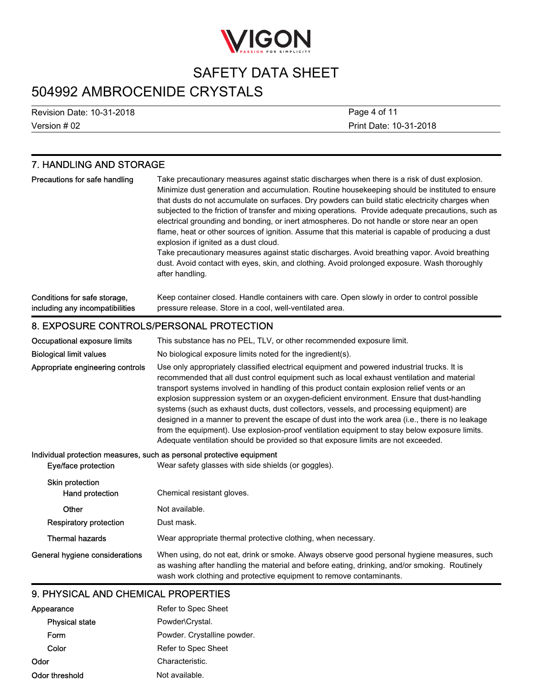

# 504992 AMBROCENIDE CRYSTALS

Version # 02 Revision Date: 10-31-2018 Print Date: 10-31-2018 Page 4 of 11

| 7. HANDLING AND STORAGE                                         |                                                                                                                                                                                                                                                                                                                                                                                                                                                                                                                                                                                                                                                                                                                                                                                                                                                                            |
|-----------------------------------------------------------------|----------------------------------------------------------------------------------------------------------------------------------------------------------------------------------------------------------------------------------------------------------------------------------------------------------------------------------------------------------------------------------------------------------------------------------------------------------------------------------------------------------------------------------------------------------------------------------------------------------------------------------------------------------------------------------------------------------------------------------------------------------------------------------------------------------------------------------------------------------------------------|
| Precautions for safe handling                                   | Take precautionary measures against static discharges when there is a risk of dust explosion.<br>Minimize dust generation and accumulation. Routine housekeeping should be instituted to ensure<br>that dusts do not accumulate on surfaces. Dry powders can build static electricity charges when<br>subjected to the friction of transfer and mixing operations. Provide adequate precautions, such as<br>electrical grounding and bonding, or inert atmospheres. Do not handle or store near an open<br>flame, heat or other sources of ignition. Assume that this material is capable of producing a dust<br>explosion if ignited as a dust cloud.<br>Take precautionary measures against static discharges. Avoid breathing vapor. Avoid breathing<br>dust. Avoid contact with eyes, skin, and clothing. Avoid prolonged exposure. Wash thoroughly<br>after handling. |
| Conditions for safe storage,<br>including any incompatibilities | Keep container closed. Handle containers with care. Open slowly in order to control possible<br>pressure release. Store in a cool, well-ventilated area.                                                                                                                                                                                                                                                                                                                                                                                                                                                                                                                                                                                                                                                                                                                   |
| 8. EXPOSURE CONTROLS/PERSONAL PROTECTION                        |                                                                                                                                                                                                                                                                                                                                                                                                                                                                                                                                                                                                                                                                                                                                                                                                                                                                            |
| Occupational exposure limits                                    | This substance has no PEL, TLV, or other recommended exposure limit.                                                                                                                                                                                                                                                                                                                                                                                                                                                                                                                                                                                                                                                                                                                                                                                                       |
| <b>Biological limit values</b>                                  | No biological exposure limits noted for the ingredient(s).                                                                                                                                                                                                                                                                                                                                                                                                                                                                                                                                                                                                                                                                                                                                                                                                                 |
| Appropriate engineering controls                                | Use only appropriately classified electrical equipment and powered industrial trucks. It is<br>recommended that all dust control equipment such as local exhaust ventilation and material<br>transport systems involved in handling of this product contain explosion relief vents or an<br>explosion suppression system or an oxygen-deficient environment. Ensure that dust-handling<br>systems (such as exhaust ducts, dust collectors, vessels, and processing equipment) are<br>designed in a manner to prevent the escape of dust into the work area (i.e., there is no leakage<br>from the equipment). Use explosion-proof ventilation equipment to stay below exposure limits.<br>Adequate ventilation should be provided so that exposure limits are not exceeded.                                                                                                |
| Eye/face protection                                             | Individual protection measures, such as personal protective equipment<br>Wear safety glasses with side shields (or goggles).                                                                                                                                                                                                                                                                                                                                                                                                                                                                                                                                                                                                                                                                                                                                               |
| Skin protection<br>Hand protection                              | Chemical resistant gloves.                                                                                                                                                                                                                                                                                                                                                                                                                                                                                                                                                                                                                                                                                                                                                                                                                                                 |
| Other                                                           | Not available.                                                                                                                                                                                                                                                                                                                                                                                                                                                                                                                                                                                                                                                                                                                                                                                                                                                             |
| <b>Respiratory protection</b>                                   | Dust mask.                                                                                                                                                                                                                                                                                                                                                                                                                                                                                                                                                                                                                                                                                                                                                                                                                                                                 |
| <b>Thermal hazards</b>                                          | Wear appropriate thermal protective clothing, when necessary.                                                                                                                                                                                                                                                                                                                                                                                                                                                                                                                                                                                                                                                                                                                                                                                                              |
| General hygiene considerations                                  | When using, do not eat, drink or smoke. Always observe good personal hygiene measures, such<br>as washing after handling the material and before eating, drinking, and/or smoking. Routinely<br>wash work clothing and protective equipment to remove contaminants.                                                                                                                                                                                                                                                                                                                                                                                                                                                                                                                                                                                                        |

#### 9. PHYSICAL AND CHEMICAL PROPERTIES

| Appearance            | Refer to Spec Sheet         |
|-----------------------|-----------------------------|
| <b>Physical state</b> | Powder\Crystal.             |
| Form                  | Powder. Crystalline powder. |
| Color                 | Refer to Spec Sheet         |
| Odor                  | Characteristic.             |
| Odor threshold        | Not available.              |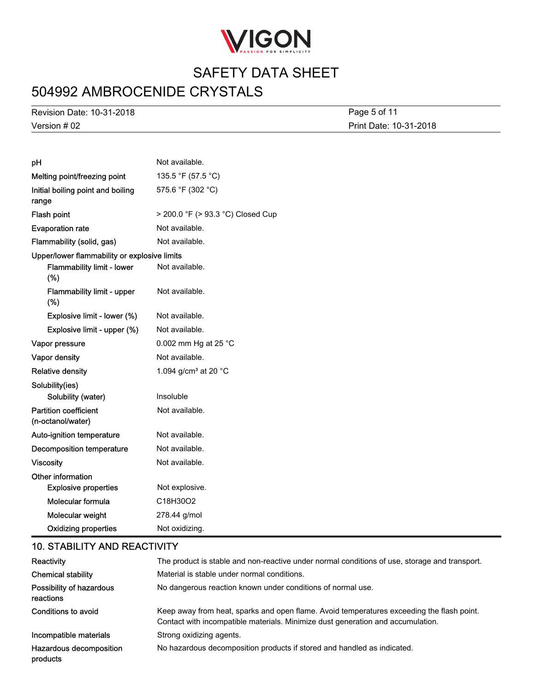

# 504992 AMBROCENIDE CRYSTALS

Version # 02 Revision Date: 10-31-2018

Print Date: 10-31-2018 Page 5 of 11

| pH                                                | Not available.                             |
|---------------------------------------------------|--------------------------------------------|
| Melting point/freezing point                      | 135.5 °F (57.5 °C)                         |
| Initial boiling point and boiling                 | 575.6 °F (302 °C)                          |
| range                                             |                                            |
| Flash point                                       | > 200.0 °F (> 93.3 °C) Closed Cup          |
| <b>Evaporation rate</b>                           | Not available.                             |
| Flammability (solid, gas)                         | Not available.                             |
| Upper/lower flammability or explosive limits      |                                            |
| Flammability limit - lower<br>(%)                 | Not available.                             |
| <b>Flammability limit - upper</b><br>(%)          | Not available.                             |
| Explosive limit - lower (%)                       | Not available.                             |
| Explosive limit - upper (%)                       | Not available.                             |
| Vapor pressure                                    | 0.002 mm Hg at 25 °C                       |
| Vapor density                                     | Not available.                             |
| <b>Relative density</b>                           | 1.094 g/cm <sup>3</sup> at 20 $^{\circ}$ C |
| Solubility(ies)                                   |                                            |
| Solubility (water)                                | Insoluble                                  |
| <b>Partition coefficient</b><br>(n-octanol/water) | Not available.                             |
| Auto-ignition temperature                         | Not available.                             |
| <b>Decomposition temperature</b>                  | Not available.                             |
| <b>Viscosity</b>                                  | Not available.                             |
| Other information                                 |                                            |
| <b>Explosive properties</b>                       | Not explosive.                             |
| Molecular formula                                 | C18H30O2                                   |
| Molecular weight                                  | 278.44 g/mol                               |
| <b>Oxidizing properties</b>                       | Not oxidizing.                             |

#### 10. STABILITY AND REACTIVITY

| Reactivity                            | The product is stable and non-reactive under normal conditions of use, storage and transport.                                                                                |
|---------------------------------------|------------------------------------------------------------------------------------------------------------------------------------------------------------------------------|
| <b>Chemical stability</b>             | Material is stable under normal conditions.                                                                                                                                  |
| Possibility of hazardous<br>reactions | No dangerous reaction known under conditions of normal use.                                                                                                                  |
| Conditions to avoid                   | Keep away from heat, sparks and open flame. Avoid temperatures exceeding the flash point.<br>Contact with incompatible materials. Minimize dust generation and accumulation. |
| Incompatible materials                | Strong oxidizing agents.                                                                                                                                                     |
| Hazardous decomposition<br>products   | No hazardous decomposition products if stored and handled as indicated.                                                                                                      |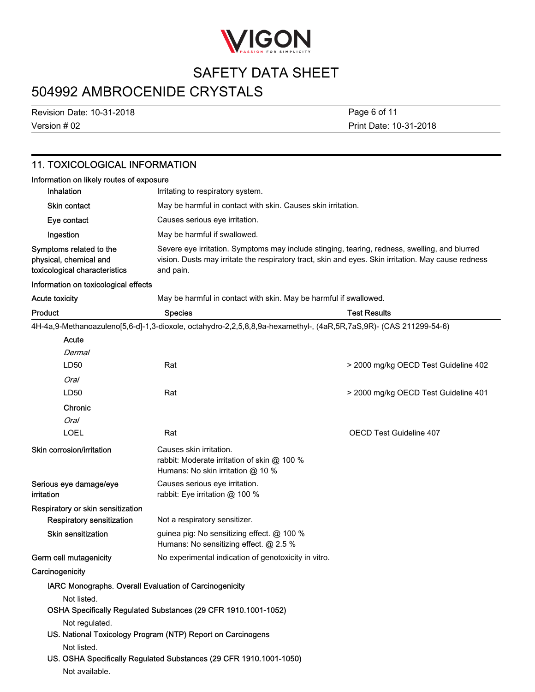

# 504992 AMBROCENIDE CRYSTALS

Version # 02 Revision Date: 10-31-2018 Print Date: 10-31-2018 Page 6 of 11

### 11. TOXICOLOGICAL INFORMATION

| Information on likely routes of exposure                                           |                                                                                                                                                                                                                   |  |
|------------------------------------------------------------------------------------|-------------------------------------------------------------------------------------------------------------------------------------------------------------------------------------------------------------------|--|
| <b>Inhalation</b>                                                                  | Irritating to respiratory system.                                                                                                                                                                                 |  |
| Skin contact                                                                       | May be harmful in contact with skin. Causes skin irritation.                                                                                                                                                      |  |
| Eye contact                                                                        | Causes serious eye irritation.                                                                                                                                                                                    |  |
| Ingestion                                                                          | May be harmful if swallowed.                                                                                                                                                                                      |  |
| Symptoms related to the<br>physical, chemical and<br>toxicological characteristics | Severe eye irritation. Symptoms may include stinging, tearing, redness, swelling, and blurred<br>vision. Dusts may irritate the respiratory tract, skin and eyes. Skin irritation. May cause redness<br>and pain. |  |

#### Information on toxicological effects

Acute toxicity May be harmful in contact with skin. May be harmful if swallowed.

| Product                              | <b>Species</b>                                                                                                    | <b>Test Results</b>                  |
|--------------------------------------|-------------------------------------------------------------------------------------------------------------------|--------------------------------------|
|                                      | 4H-4a,9-Methanoazuleno[5,6-d]-1,3-dioxole, octahydro-2,2,5,8,8,9a-hexamethyl-, (4aR,5R,7aS,9R)- (CAS 211299-54-6) |                                      |
| Acute                                |                                                                                                                   |                                      |
| Dermal                               |                                                                                                                   |                                      |
| LD50                                 | Rat                                                                                                               | > 2000 mg/kg OECD Test Guideline 402 |
| Oral                                 |                                                                                                                   |                                      |
| LD50                                 | Rat                                                                                                               | > 2000 mg/kg OECD Test Guideline 401 |
| Chronic                              |                                                                                                                   |                                      |
| <b>Oral</b>                          |                                                                                                                   |                                      |
| <b>LOEL</b>                          | Rat                                                                                                               | <b>OECD Test Guideline 407</b>       |
| Skin corrosion/irritation            | Causes skin irritation.<br>rabbit: Moderate irritation of skin @ 100 %<br>Humans: No skin irritation @ 10 %       |                                      |
| Serious eye damage/eye<br>irritation | Causes serious eye irritation.<br>rabbit: Eye irritation @ 100 %                                                  |                                      |
| Respiratory or skin sensitization    |                                                                                                                   |                                      |
| <b>Respiratory sensitization</b>     | Not a respiratory sensitizer.                                                                                     |                                      |
| <b>Skin sensitization</b>            | guinea pig: No sensitizing effect. @ 100 %<br>Humans: No sensitizing effect. @ 2.5 %                              |                                      |
| Germ cell mutagenicity               | No experimental indication of genotoxicity in vitro.                                                              |                                      |
| Carcinogenicity                      |                                                                                                                   |                                      |
|                                      | IARC Monographs. Overall Evaluation of Carcinogenicity                                                            |                                      |
| Not listed.                          |                                                                                                                   |                                      |
|                                      | OSHA Specifically Regulated Substances (29 CFR 1910.1001-1052)                                                    |                                      |
| Not regulated.                       |                                                                                                                   |                                      |
|                                      | US. National Toxicology Program (NTP) Report on Carcinogens                                                       |                                      |
| Not listed.                          |                                                                                                                   |                                      |
|                                      | US. OSHA Specifically Regulated Substances (29 CFR 1910.1001-1050)                                                |                                      |
| Not available.                       |                                                                                                                   |                                      |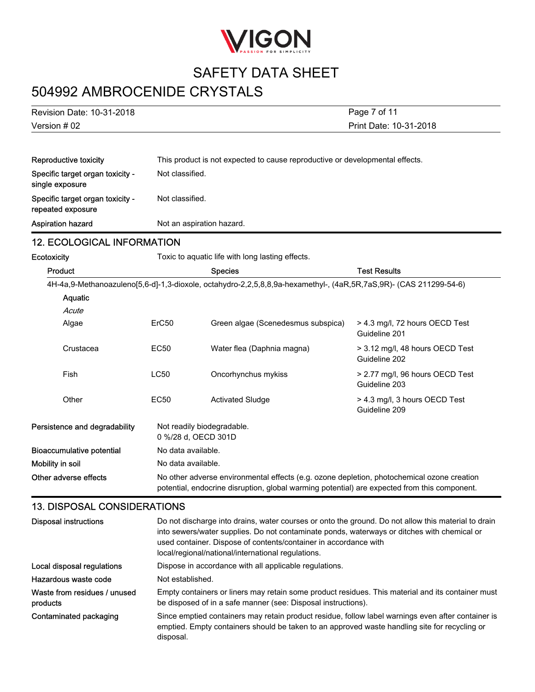

# 504992 AMBROCENIDE CRYSTALS

| Version # 02              | Print Date: 10-31-2018 |
|---------------------------|------------------------|
| Revision Date: 10-31-2018 | Page 7 of 11           |

| Reproductive toxicity                                 | This product is not expected to cause reproductive or developmental effects. |
|-------------------------------------------------------|------------------------------------------------------------------------------|
| Specific target organ toxicity -<br>single exposure   | Not classified.                                                              |
| Specific target organ toxicity -<br>repeated exposure | Not classified.                                                              |
| <b>Aspiration hazard</b>                              | Not an aspiration hazard.                                                    |

#### 12. ECOLOGICAL INFORMATION

| Ecotoxicity                      |                    | Toxic to aquatic life with long lasting effects.                                                                                                                                           |                                                  |
|----------------------------------|--------------------|--------------------------------------------------------------------------------------------------------------------------------------------------------------------------------------------|--------------------------------------------------|
| Product                          |                    | <b>Species</b>                                                                                                                                                                             | <b>Test Results</b>                              |
|                                  |                    | 4H-4a,9-Methanoazuleno[5,6-d]-1,3-dioxole, octahydro-2,2,5,8,8,9a-hexamethyl-, (4aR,5R,7aS,9R)- (CAS 211299-54-6)                                                                          |                                                  |
| Aquatic                          |                    |                                                                                                                                                                                            |                                                  |
| Acute                            |                    |                                                                                                                                                                                            |                                                  |
| Algae                            | ErC50              | Green algae (Scenedesmus subspica)                                                                                                                                                         | > 4.3 mg/l, 72 hours OECD Test<br>Guideline 201  |
| Crustacea                        | EC50               | Water flea (Daphnia magna)                                                                                                                                                                 | > 3.12 mg/l, 48 hours OECD Test<br>Guideline 202 |
| <b>Fish</b>                      | <b>LC50</b>        | Oncorhynchus mykiss                                                                                                                                                                        | > 2.77 mg/l, 96 hours OECD Test<br>Guideline 203 |
| Other                            | EC50               | <b>Activated Sludge</b>                                                                                                                                                                    | > 4.3 mg/l, 3 hours OECD Test<br>Guideline 209   |
| Persistence and degradability    |                    | Not readily biodegradable.<br>0 %/28 d, OECD 301D                                                                                                                                          |                                                  |
| <b>Bioaccumulative potential</b> | No data available. |                                                                                                                                                                                            |                                                  |
| Mobility in soil                 | No data available. |                                                                                                                                                                                            |                                                  |
| Other adverse effects            |                    | No other adverse environmental effects (e.g. ozone depletion, photochemical ozone creation<br>potential, endocrine disruption, global warming potential) are expected from this component. |                                                  |

#### 13. DISPOSAL CONSIDERATIONS

| <b>Disposal instructions</b>             | Do not discharge into drains, water courses or onto the ground. Do not allow this material to drain<br>into sewers/water supplies. Do not contaminate ponds, waterways or ditches with chemical or<br>used container. Dispose of contents/container in accordance with<br>local/regional/national/international regulations. |
|------------------------------------------|------------------------------------------------------------------------------------------------------------------------------------------------------------------------------------------------------------------------------------------------------------------------------------------------------------------------------|
| Local disposal regulations               | Dispose in accordance with all applicable regulations.                                                                                                                                                                                                                                                                       |
| Hazardous waste code                     | Not established.                                                                                                                                                                                                                                                                                                             |
| Waste from residues / unused<br>products | Empty containers or liners may retain some product residues. This material and its container must<br>be disposed of in a safe manner (see: Disposal instructions).                                                                                                                                                           |
| Contaminated packaging                   | Since emptied containers may retain product residue, follow label warnings even after container is<br>emptied. Empty containers should be taken to an approved waste handling site for recycling or<br>disposal.                                                                                                             |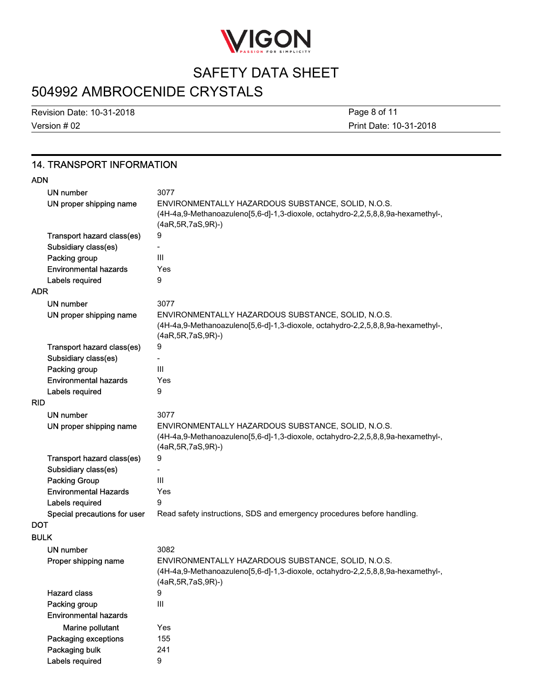

# 504992 AMBROCENIDE CRYSTALS

Version # 02 Revision Date: 10-31-2018 Print Date: 10-31-2018 Page 8 of 11

#### 14. TRANSPORT INFORMATION

#### ADN

| UN number<br>UN proper shipping name | 3077<br>ENVIRONMENTALLY HAZARDOUS SUBSTANCE, SOLID, N.O.S.                                                                                                       |
|--------------------------------------|------------------------------------------------------------------------------------------------------------------------------------------------------------------|
|                                      | (4H-4a,9-Methanoazuleno[5,6-d]-1,3-dioxole, octahydro-2,2,5,8,8,9a-hexamethyl-,<br>$(4aR, 5R, 7aS, 9R)$ -)                                                       |
| Transport hazard class(es)           | 9                                                                                                                                                                |
| Subsidiary class(es)                 |                                                                                                                                                                  |
| Packing group                        | III                                                                                                                                                              |
| <b>Environmental hazards</b>         | Yes                                                                                                                                                              |
| Labels required                      | 9                                                                                                                                                                |
| <b>ADR</b>                           |                                                                                                                                                                  |
| UN number                            | 3077                                                                                                                                                             |
| UN proper shipping name              | ENVIRONMENTALLY HAZARDOUS SUBSTANCE, SOLID, N.O.S.<br>(4H-4a,9-Methanoazuleno[5,6-d]-1,3-dioxole, octahydro-2,2,5,8,8,9a-hexamethyl-,<br>$(4aR, 5R, 7aS, 9R)$ -) |
| Transport hazard class(es)           | 9                                                                                                                                                                |
| Subsidiary class(es)                 |                                                                                                                                                                  |
| Packing group                        | III                                                                                                                                                              |
| <b>Environmental hazards</b>         | Yes                                                                                                                                                              |
| Labels required                      | 9                                                                                                                                                                |
| <b>RID</b>                           |                                                                                                                                                                  |
| UN number                            | 3077                                                                                                                                                             |
| UN proper shipping name              | ENVIRONMENTALLY HAZARDOUS SUBSTANCE, SOLID, N.O.S.<br>(4H-4a,9-Methanoazuleno[5,6-d]-1,3-dioxole, octahydro-2,2,5,8,8,9a-hexamethyl-,<br>(4aR, 5R, 7aS, 9R)-)    |
| Transport hazard class(es)           | 9                                                                                                                                                                |
| Subsidiary class(es)                 |                                                                                                                                                                  |
| <b>Packing Group</b>                 | Ш                                                                                                                                                                |
| <b>Environmental Hazards</b>         | Yes                                                                                                                                                              |
| Labels required                      | 9                                                                                                                                                                |
| Special precautions for user         | Read safety instructions, SDS and emergency procedures before handling.                                                                                          |
| <b>DOT</b>                           |                                                                                                                                                                  |
| <b>BULK</b>                          |                                                                                                                                                                  |
| <b>UN number</b>                     | 3082                                                                                                                                                             |
| Proper shipping name                 | ENVIRONMENTALLY HAZARDOUS SUBSTANCE, SOLID, N.O.S.                                                                                                               |
|                                      | (4H-4a,9-Methanoazuleno[5,6-d]-1,3-dioxole, octahydro-2,2,5,8,8,9a-hexamethyl-,<br>(4aR, 5R, 7aS, 9R)-)                                                          |
| <b>Hazard class</b>                  | 9                                                                                                                                                                |
| Packing group                        | III                                                                                                                                                              |
| <b>Environmental hazards</b>         |                                                                                                                                                                  |
| Marine pollutant                     | Yes                                                                                                                                                              |
| Packaging exceptions                 | 155                                                                                                                                                              |
| Packaging bulk                       | 241                                                                                                                                                              |
| Labels required                      | 9                                                                                                                                                                |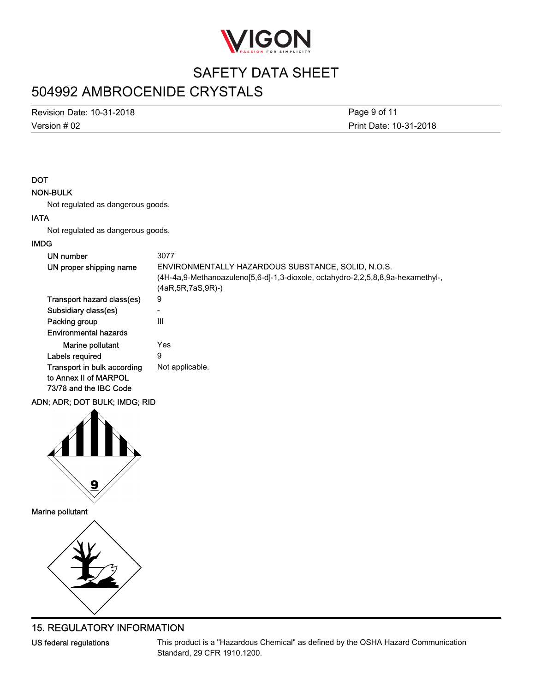

## 504992 AMBROCENIDE CRYSTALS

Version # 02 Revision Date: 10-31-2018 Print Date: 10-31-2018 Page 9 of 11

#### **DOT**

#### NON-BULK

Not regulated as dangerous goods.

#### IATA

Not regulated as dangerous goods.

#### IMDG

| UN number<br>UN proper shipping name                                           | 3077<br>ENVIRONMENTALLY HAZARDOUS SUBSTANCE, SOLID, N.O.S.<br>(4H-4a,9-Methanoazuleno[5,6-d]-1,3-dioxole, octahydro-2,2,5,8,8,9a-hexamethyl-,<br>(4aR,5R,7aS,9R)-) |
|--------------------------------------------------------------------------------|--------------------------------------------------------------------------------------------------------------------------------------------------------------------|
| Transport hazard class(es)                                                     | 9                                                                                                                                                                  |
| Subsidiary class(es)                                                           | -                                                                                                                                                                  |
| Packing group                                                                  | Ш                                                                                                                                                                  |
| Environmental hazards                                                          |                                                                                                                                                                    |
| Marine pollutant                                                               | Yes                                                                                                                                                                |
| Labels required                                                                | 9                                                                                                                                                                  |
| Transport in bulk according<br>to Annex II of MARPOL<br>73/78 and the IBC Code | Not applicable.                                                                                                                                                    |

#### ADN; ADR; DOT BULK; IMDG; RID



Marine pollutant



#### 15. REGULATORY INFORMATION

US federal regulations

This product is a "Hazardous Chemical" as defined by the OSHA Hazard Communication Standard, 29 CFR 1910.1200.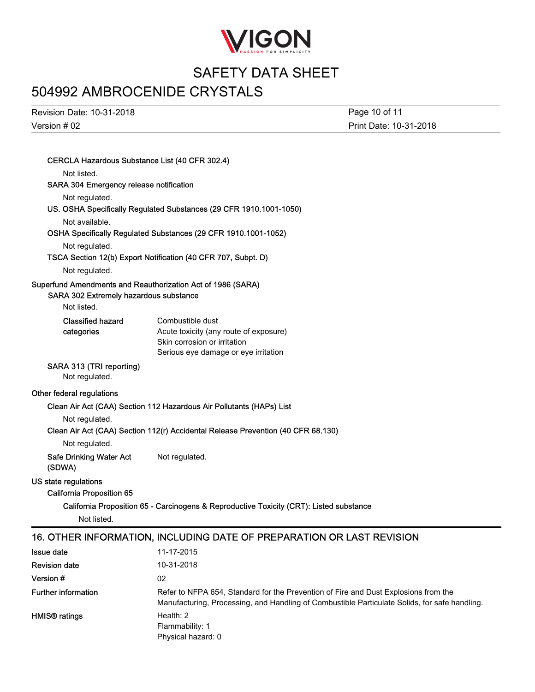

# 504992 AMBROCENIDE CRYSTALS

Version # 02 Revision Date: 10-31-2018

Print Date: 10-31-2018 Page 10 of 11

| CERCLA Hazardous Substance List (40 CFR 302.4) |                                                                                               |
|------------------------------------------------|-----------------------------------------------------------------------------------------------|
| Not listed.                                    |                                                                                               |
| SARA 304 Emergency release notification        |                                                                                               |
| Not regulated.                                 |                                                                                               |
|                                                | US. OSHA Specifically Regulated Substances (29 CFR 1910.1001-1050)                            |
| Not available.                                 |                                                                                               |
|                                                | OSHA Specifically Regulated Substances (29 CFR 1910.1001-1052)                                |
| Not regulated.                                 |                                                                                               |
|                                                | TSCA Section 12(b) Export Notification (40 CFR 707, Subpt. D)                                 |
| Not regulated.                                 |                                                                                               |
| SARA 302 Extremely hazardous substance         | Superfund Amendments and Reauthorization Act of 1986 (SARA)                                   |
| Not listed.                                    |                                                                                               |
| <b>Classified hazard</b><br>categories         | Combustible dust<br>Acute toxicity (any route of exposure)                                    |
|                                                | Skin corrosion or irritation                                                                  |
|                                                | Serious eye damage or eye irritation                                                          |
| SARA 313 (TRI reporting)<br>Not regulated.     |                                                                                               |
| Other federal regulations                      |                                                                                               |
|                                                | Clean Air Act (CAA) Section 112 Hazardous Air Pollutants (HAPs) List                          |
| Not regulated.                                 |                                                                                               |
|                                                | Clean Air Act (CAA) Section 112(r) Accidental Release Prevention (40 CFR 68.130)              |
| Not regulated.                                 |                                                                                               |
| <b>Safe Drinking Water Act</b><br>(SDWA)       | Not regulated.                                                                                |
| US state regulations                           |                                                                                               |
| <b>California Proposition 65</b>               |                                                                                               |
|                                                | California Proposition 65 - Carcinogens & Reproductive Toxicity (CRT): Listed substance       |
| Not listed.                                    |                                                                                               |
|                                                | 16. OTHER INFORMATION, INCLUDING DATE OF PREPARATION OR LAST REVISION                         |
| <b>Issue date</b>                              | 11-17-2015                                                                                    |
| <b>Revision date</b>                           | 10-31-2018                                                                                    |
| Version #                                      | 02                                                                                            |
| <b>Further information</b>                     | Refer to NFPA 654, Standard for the Prevention of Fire and Dust Explosions from the           |
|                                                | Manufacturing, Processing, and Handling of Combustible Particulate Solids, for safe handling. |
| <b>HMIS®</b> ratings                           | Health: 2<br>Flammability: 1                                                                  |

Physical hazard: 0